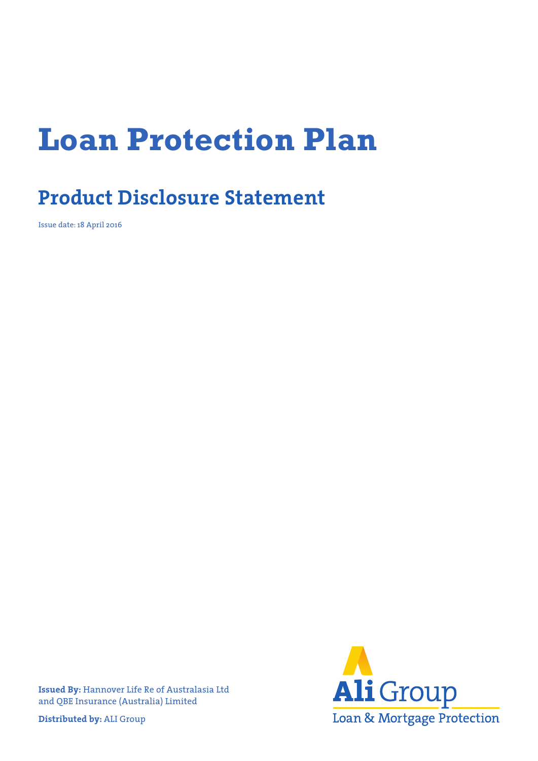# **Loan Protection Plan**

# **Product Disclosure Statement**

Issue date: 18 April 2016

**Ali** Group Loan & Mortgage Protection

**Issued By:** Hannover Life Re of Australasia Ltd and QBE Insurance (Australia) Limited

**Distributed by:** ALI Group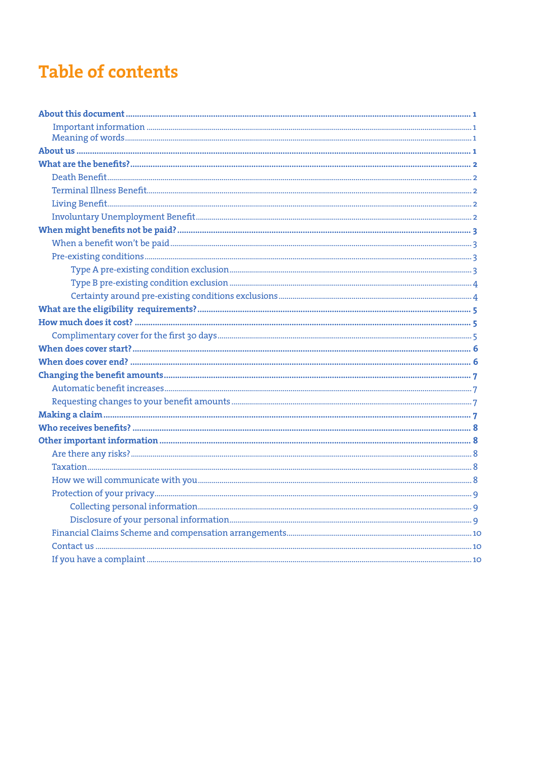# **Table of contents**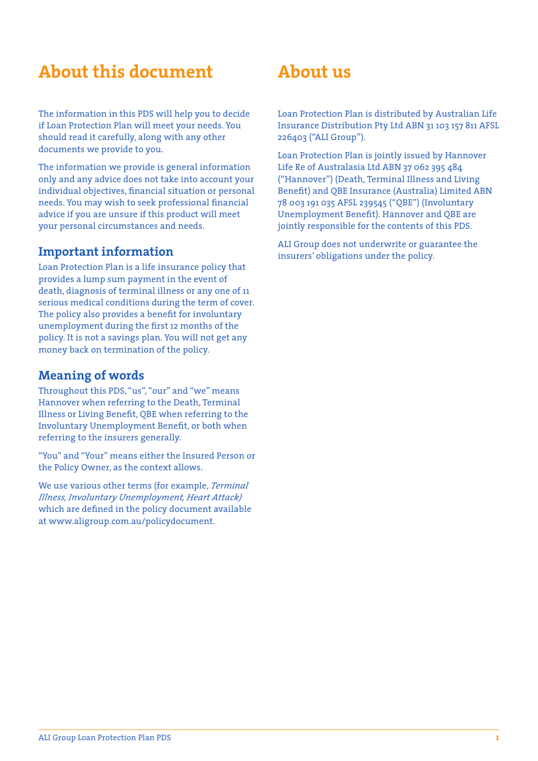# **About this document**

The information in this PDS will help you to decide if Loan Protection Plan will meet your needs. You should read it carefully, along with any other documents we provide to you.

The information we provide is general information only and any advice does not take into account your individual objectives, financial situation or personal needs. You may wish to seek professional financial advice if you are unsure if this product will meet your personal circumstances and needs.

#### **Important information**

Loan Protection Plan is a life insurance policy that provides a lump sum payment in the event of death, diagnosis of terminal illness or any one of 11 serious medical conditions during the term of cover. The policy also provides a benefit for involuntary unemployment during the first 12 months of the policy. It is not a savings plan. You will not get any money back on termination of the policy.

### **Meaning of words**

Throughout this PDS, "us", "our" and "we" means Hannover when referring to the Death, Terminal Illness or Living Benefit, QBE when referring to the Involuntary Unemployment Benefit, or both when referring to the insurers generally.

"You" and "Your" means either the Insured Person or the Policy Owner, as the context allows.

We use various other terms (for example, *Terminal Illness, Involuntary Unemployment, Heart Attack)* which are defined in the policy document available at www.aligroup.com.au/policydocument.

# **About us**

Loan Protection Plan is distributed by Australian Life Insurance Distribution Pty Ltd ABN 31 103 157 811 AFSL 226403 ("ALI Group").

Loan Protection Plan is jointly issued by Hannover Life Re of Australasia Ltd ABN 37 062 395 484 ("Hannover") (Death, Terminal Illness and Living Benefit) and QBE Insurance (Australia) Limited ABN 78 003 191 035 AFSL 239545 ("QBE") (Involuntary Unemployment Benefit). Hannover and QBE are jointly responsible for the contents of this PDS.

ALI Group does not underwrite or guarantee the insurers' obligations under the policy.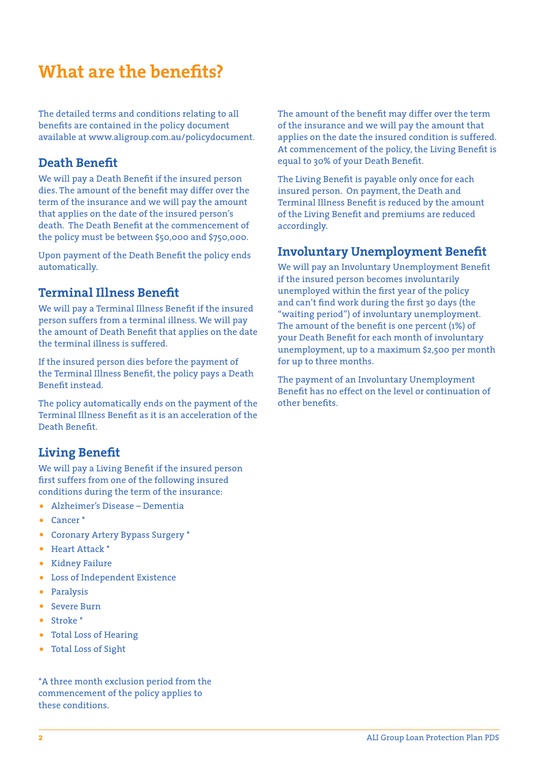# **What are the benefits?**

The detailed terms and conditions relating to all benefits are contained in the policy document available at www.aligroup.com.au/policydocument.

#### **Death Benefit**

We will pay a Death Benefit if the insured person dies. The amount of the benefit may differ over the term of the insurance and we will pay the amount that applies on the date of the insured person's death. The Death Benefit at the commencement of the policy must be between \$50,000 and \$750,000.

Upon payment of the Death Benefit the policy ends automatically.

### **Terminal Illness Benefit**

We will pay a Terminal Illness Benefit if the insured person suffers from a terminal illness. We will pay the amount of Death Benefit that applies on the date the terminal illness is suffered.

If the insured person dies before the payment of the Terminal Illness Benefit, the policy pays a Death Benefit instead.

The policy automatically ends on the payment of the Terminal Illness Benefit as it is an acceleration of the Death Benefit.

### **Living Benefit**

We will pay a Living Benefit if the insured person first suffers from one of the following insured conditions during the term of the insurance:

- Alzheimer's Disease Dementia
- Cancer \*
- Coronary Artery Bypass Surgery \*
- Heart Attack \*
- Kidney Failure
- Loss of Independent Existence
- Paralysis
- Severe Burn
- Stroke \*
- Total Loss of Hearing
- Total Loss of Sight

\*A three month exclusion period from the commencement of the policy applies to these conditions.

The amount of the benefit may differ over the term of the insurance and we will pay the amount that applies on the date the insured condition is suffered. At commencement of the policy, the Living Benefit is equal to 30% of your Death Benefit.

The Living Benefit is payable only once for each insured person. On payment, the Death and Terminal Illness Benefit is reduced by the amount of the Living Benefit and premiums are reduced accordingly.

### **Involuntary Unemployment Benefit**

We will pay an Involuntary Unemployment Benefit if the insured person becomes involuntarily unemployed within the first year of the policy and can't find work during the first 30 days (the "waiting period") of involuntary unemployment. The amount of the benefit is one percent (1%) of your Death Benefit for each month of involuntary unemployment, up to a maximum \$2,500 per month for up to three months.

The payment of an Involuntary Unemployment Benefit has no effect on the level or continuation of other benefits.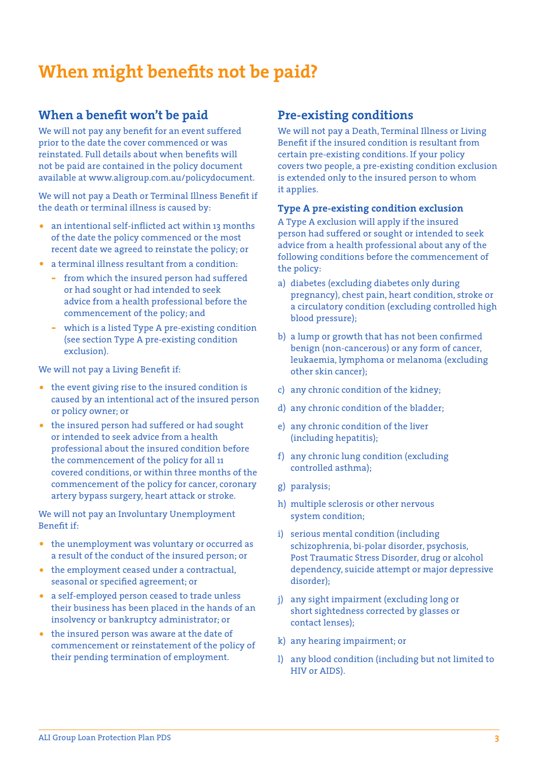# **When might benefits not be paid?**

#### **When a benefit won't be paid**

We will not pay any benefit for an event suffered prior to the date the cover commenced or was reinstated. Full details about when benefits will not be paid are contained in the policy document available at www.aligroup.com.au/policydocument.

We will not pay a Death or Terminal Illness Benefit if the death or terminal illness is caused by:

- an intentional self-inflicted act within 13 months of the date the policy commenced or the most recent date we agreed to reinstate the policy; or
- a terminal illness resultant from a condition:
	- **-** from which the insured person had suffered or had sought or had intended to seek advice from a health professional before the commencement of the policy; and
	- **-** which is a listed Type A pre-existing condition (see section Type A pre-existing condition exclusion).

We will not pay a Living Benefit if:

- the event giving rise to the insured condition is caused by an intentional act of the insured person or policy owner; or
- the insured person had suffered or had sought or intended to seek advice from a health professional about the insured condition before the commencement of the policy for all 11 covered conditions, or within three months of the commencement of the policy for cancer, coronary artery bypass surgery, heart attack or stroke.

We will not pay an Involuntary Unemployment Benefit if:

- the unemployment was voluntary or occurred as a result of the conduct of the insured person; or
- the employment ceased under a contractual, seasonal or specified agreement; or
- a self-employed person ceased to trade unless their business has been placed in the hands of an insolvency or bankruptcy administrator; or
- the insured person was aware at the date of commencement or reinstatement of the policy of their pending termination of employment.

#### **Pre-existing conditions**

We will not pay a Death, Terminal Illness or Living Benefit if the insured condition is resultant from certain pre-existing conditions. If your policy covers two people, a pre-existing condition exclusion is extended only to the insured person to whom it applies.

#### **Type A pre-existing condition exclusion**

A Type A exclusion will apply if the insured person had suffered or sought or intended to seek advice from a health professional about any of the following conditions before the commencement of the policy:

- a) diabetes (excluding diabetes only during pregnancy), chest pain, heart condition, stroke or a circulatory condition (excluding controlled high blood pressure);
- b) a lump or growth that has not been confirmed benign (non-cancerous) or any form of cancer, leukaemia, lymphoma or melanoma (excluding other skin cancer);
- c) any chronic condition of the kidney;
- d) any chronic condition of the bladder;
- e) any chronic condition of the liver (including hepatitis);
- f) any chronic lung condition (excluding controlled asthma);
- g) paralysis;
- h) multiple sclerosis or other nervous system condition;
- i) serious mental condition (including schizophrenia, bi-polar disorder, psychosis, Post Traumatic Stress Disorder, drug or alcohol dependency, suicide attempt or major depressive disorder);
- j) any sight impairment (excluding long or short sightedness corrected by glasses or contact lenses);
- k) any hearing impairment; or
- l) any blood condition (including but not limited to HIV or AIDS).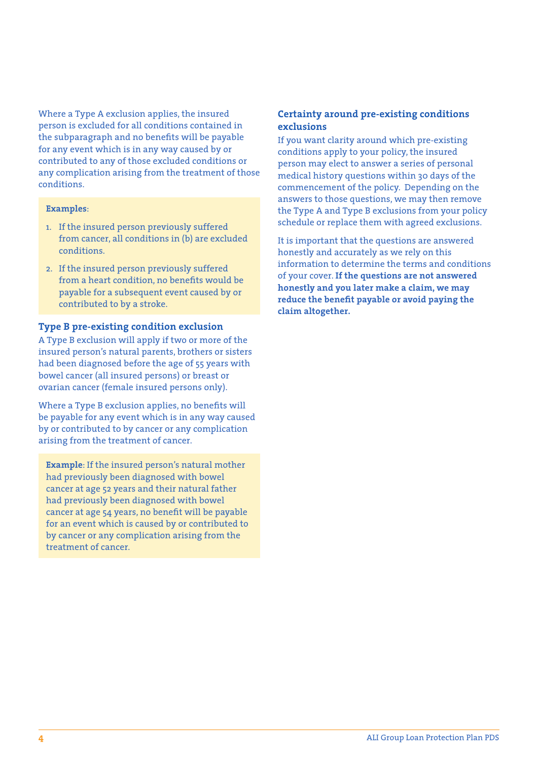Where a Type A exclusion applies, the insured person is excluded for all conditions contained in the subparagraph and no benefits will be payable for any event which is in any way caused by or contributed to any of those excluded conditions or any complication arising from the treatment of those conditions.

#### **Examples**:

- 1. If the insured person previously suffered from cancer, all conditions in (b) are excluded conditions.
- 2. If the insured person previously suffered from a heart condition, no benefits would be payable for a subsequent event caused by or contributed to by a stroke.

#### **Type B pre-existing condition exclusion**

A Type B exclusion will apply if two or more of the insured person's natural parents, brothers or sisters had been diagnosed before the age of 55 years with bowel cancer (all insured persons) or breast or ovarian cancer (female insured persons only).

Where a Type B exclusion applies, no benefits will be payable for any event which is in any way caused by or contributed to by cancer or any complication arising from the treatment of cancer.

**Example**: If the insured person's natural mother had previously been diagnosed with bowel cancer at age 52 years and their natural father had previously been diagnosed with bowel cancer at age 54 years, no benefit will be payable for an event which is caused by or contributed to by cancer or any complication arising from the treatment of cancer.

#### **Certainty around pre-existing conditions exclusions**

If you want clarity around which pre-existing conditions apply to your policy, the insured person may elect to answer a series of personal medical history questions within 30 days of the commencement of the policy. Depending on the answers to those questions, we may then remove the Type A and Type B exclusions from your policy schedule or replace them with agreed exclusions.

It is important that the questions are answered honestly and accurately as we rely on this information to determine the terms and conditions of your cover. **If the questions are not answered honestly and you later make a claim, we may reduce the benefit payable or avoid paying the claim altogether.**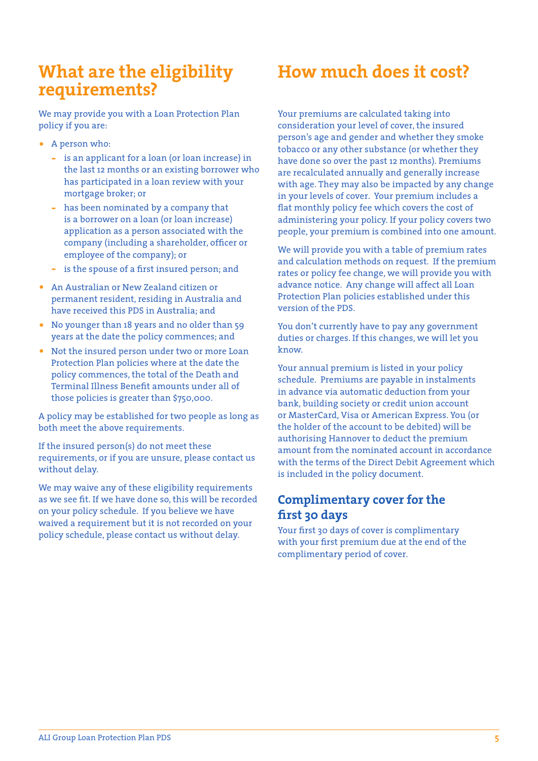### **What are the eligibility requirements?**

We may provide you with a Loan Protection Plan policy if you are:

- A person who:
	- **-** is an applicant for a loan (or loan increase) in the last 12 months or an existing borrower who has participated in a loan review with your mortgage broker; or
	- **-** has been nominated by a company that is a borrower on a loan (or loan increase) application as a person associated with the company (including a shareholder, officer or employee of the company); or
	- **-** is the spouse of a first insured person; and
- An Australian or New Zealand citizen or permanent resident, residing in Australia and have received this PDS in Australia; and
- No younger than 18 years and no older than 59 years at the date the policy commences; and
- Not the insured person under two or more Loan Protection Plan policies where at the date the policy commences, the total of the Death and Terminal Illness Benefit amounts under all of those policies is greater than \$750,000.

A policy may be established for two people as long as both meet the above requirements.

If the insured person(s) do not meet these requirements, or if you are unsure, please contact us without delay.

We may waive any of these eligibility requirements as we see fit. If we have done so, this will be recorded on your policy schedule. If you believe we have waived a requirement but it is not recorded on your policy schedule, please contact us without delay.

# **How much does it cost?**

Your premiums are calculated taking into consideration your level of cover, the insured person's age and gender and whether they smoke tobacco or any other substance (or whether they have done so over the past 12 months). Premiums are recalculated annually and generally increase with age. They may also be impacted by any change in your levels of cover. Your premium includes a flat monthly policy fee which covers the cost of administering your policy. If your policy covers two people, your premium is combined into one amount.

We will provide you with a table of premium rates and calculation methods on request. If the premium rates or policy fee change, we will provide you with advance notice. Any change will affect all Loan Protection Plan policies established under this version of the PDS.

You don't currently have to pay any government duties or charges. If this changes, we will let you know.

Your annual premium is listed in your policy schedule. Premiums are payable in instalments in advance via automatic deduction from your bank, building society or credit union account or MasterCard, Visa or American Express. You (or the holder of the account to be debited) will be authorising Hannover to deduct the premium amount from the nominated account in accordance with the terms of the Direct Debit Agreement which is included in the policy document.

### **Complimentary cover for the first 30 days**

Your first 30 days of cover is complimentary with your first premium due at the end of the complimentary period of cover.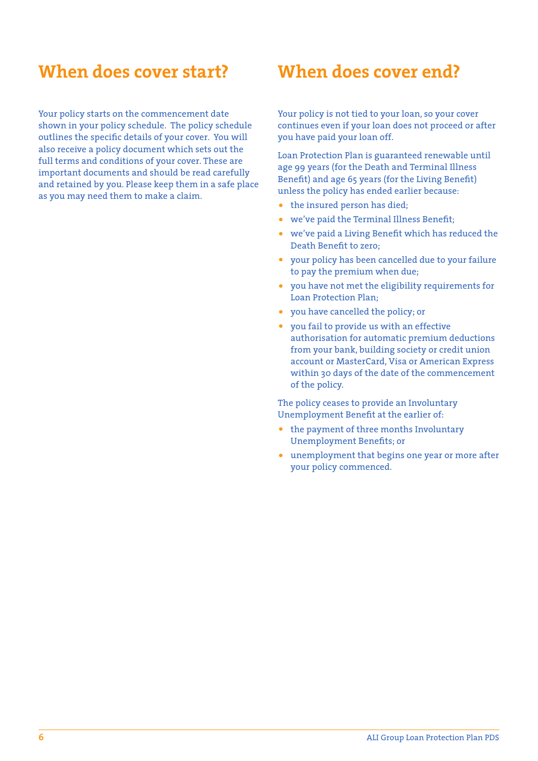### **When does cover start?**

Your policy starts on the commencement date shown in your policy schedule. The policy schedule outlines the specific details of your cover. You will also receive a policy document which sets out the full terms and conditions of your cover. These are important documents and should be read carefully and retained by you. Please keep them in a safe place as you may need them to make a claim.

### **When does cover end?**

Your policy is not tied to your loan, so your cover continues even if your loan does not proceed or after you have paid your loan off.

Loan Protection Plan is guaranteed renewable until age 99 years (for the Death and Terminal Illness Benefit) and age 65 years (for the Living Benefit) unless the policy has ended earlier because:

- the insured person has died:
- we've paid the Terminal Illness Benefit;
- we've paid a Living Benefit which has reduced the Death Benefit to zero;
- your policy has been cancelled due to your failure to pay the premium when due;
- you have not met the eligibility requirements for Loan Protection Plan;
- you have cancelled the policy; or
- you fail to provide us with an effective authorisation for automatic premium deductions from your bank, building society or credit union account or MasterCard, Visa or American Express within 30 days of the date of the commencement of the policy.

The policy ceases to provide an Involuntary Unemployment Benefit at the earlier of:

- the payment of three months Involuntary Unemployment Benefits; or
- unemployment that begins one year or more after your policy commenced.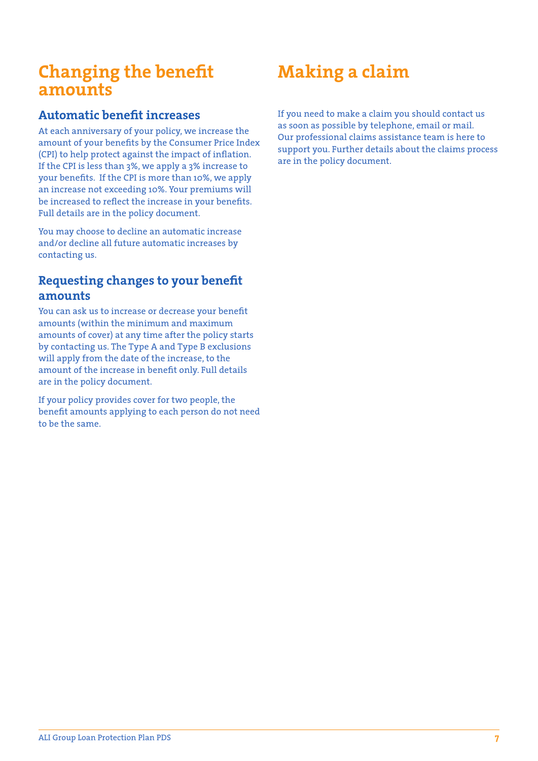### **Changing the benefit amounts**

### **Automatic benefit increases**

At each anniversary of your policy, we increase the amount of your benefits by the Consumer Price Index (CPI) to help protect against the impact of inflation. If the CPI is less than 3%, we apply a 3% increase to your benefits. If the CPI is more than 10%, we apply an increase not exceeding 10%. Your premiums will be increased to reflect the increase in your benefits. Full details are in the policy document.

You may choose to decline an automatic increase and/or decline all future automatic increases by contacting us.

### **Requesting changes to your benefit amounts**

You can ask us to increase or decrease your benefit amounts (within the minimum and maximum amounts of cover) at any time after the policy starts by contacting us. The Type A and Type B exclusions will apply from the date of the increase, to the amount of the increase in benefit only. Full details are in the policy document.

If your policy provides cover for two people, the benefit amounts applying to each person do not need to be the same.

# **Making a claim**

If you need to make a claim you should contact us as soon as possible by telephone, email or mail. Our professional claims assistance team is here to support you. Further details about the claims process are in the policy document.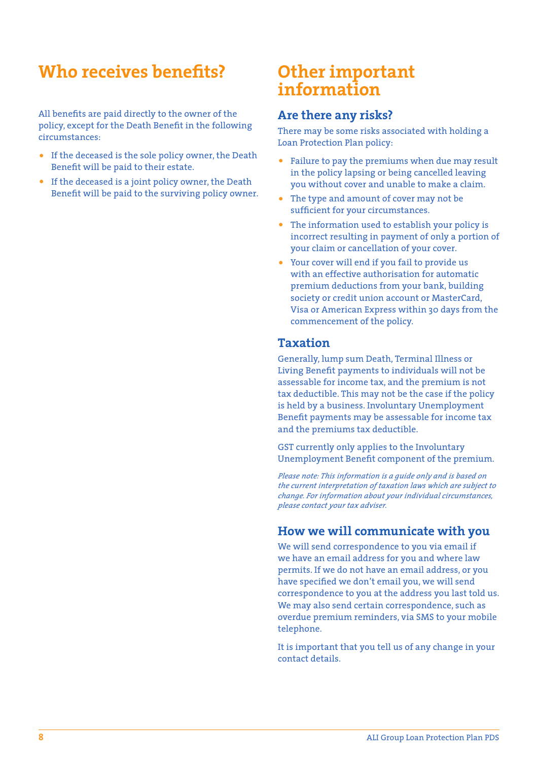## **Who receives benefits?**

All benefits are paid directly to the owner of the policy, except for the Death Benefit in the following circumstances:

- If the deceased is the sole policy owner, the Death Benefit will be paid to their estate.
- If the deceased is a joint policy owner, the Death Benefit will be paid to the surviving policy owner.

### **Other important information**

#### **Are there any risks?**

There may be some risks associated with holding a Loan Protection Plan policy:

- Failure to pay the premiums when due may result in the policy lapsing or being cancelled leaving you without cover and unable to make a claim.
- The type and amount of cover may not be sufficient for your circumstances.
- The information used to establish your policy is incorrect resulting in payment of only a portion of your claim or cancellation of your cover.
- Your cover will end if you fail to provide us with an effective authorisation for automatic premium deductions from your bank, building society or credit union account or MasterCard, Visa or American Express within 30 days from the commencement of the policy.

#### **Taxation**

Generally, lump sum Death, Terminal Illness or Living Benefit payments to individuals will not be assessable for income tax, and the premium is not tax deductible. This may not be the case if the policy is held by a business. Involuntary Unemployment Benefit payments may be assessable for income tax and the premiums tax deductible.

GST currently only applies to the Involuntary Unemployment Benefit component of the premium.

*Please note: This information is a guide only and is based on the current interpretation of taxation laws which are subject to change. For information about your individual circumstances, please contact your tax adviser.*

#### **How we will communicate with you**

We will send correspondence to you via email if we have an email address for you and where law permits. If we do not have an email address, or you have specified we don't email you, we will send correspondence to you at the address you last told us. We may also send certain correspondence, such as overdue premium reminders, via SMS to your mobile telephone.

It is important that you tell us of any change in your contact details.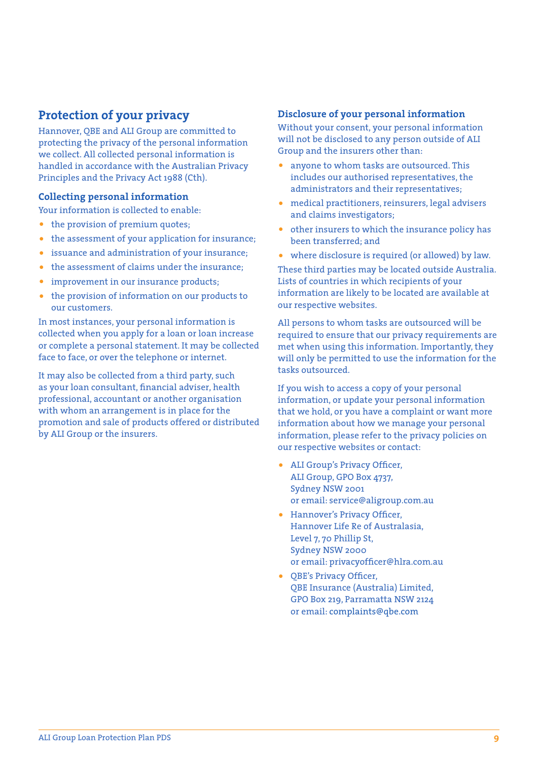#### **Protection of your privacy**

Hannover, QBE and ALI Group are committed to protecting the privacy of the personal information we collect. All collected personal information is handled in accordance with the Australian Privacy Principles and the Privacy Act 1988 (Cth).

#### **Collecting personal information**

Your information is collected to enable:

- the provision of premium quotes;
- the assessment of your application for insurance;
- issuance and administration of your insurance;
- the assessment of claims under the insurance:
- improvement in our insurance products;
- the provision of information on our products to our customers.

In most instances, your personal information is collected when you apply for a loan or loan increase or complete a personal statement. It may be collected face to face, or over the telephone or internet.

It may also be collected from a third party, such as your loan consultant, financial adviser, health professional, accountant or another organisation with whom an arrangement is in place for the promotion and sale of products offered or distributed by ALI Group or the insurers.

#### **Disclosure of your personal information**

Without your consent, your personal information will not be disclosed to any person outside of ALI Group and the insurers other than:

- anyone to whom tasks are outsourced. This includes our authorised representatives, the administrators and their representatives;
- medical practitioners, reinsurers, legal advisers and claims investigators;
- other insurers to which the insurance policy has been transferred; and
- where disclosure is required (or allowed) by law.

These third parties may be located outside Australia. Lists of countries in which recipients of your information are likely to be located are available at our respective websites.

All persons to whom tasks are outsourced will be required to ensure that our privacy requirements are met when using this information. Importantly, they will only be permitted to use the information for the tasks outsourced.

If you wish to access a copy of your personal information, or update your personal information that we hold, or you have a complaint or want more information about how we manage your personal information, please refer to the privacy policies on our respective websites or contact:

- ALI Group's Privacy Officer, ALI Group, GPO Box 4737, Sydney NSW 2001 or email: service@aligroup.com.au
- Hannover's Privacy Officer, Hannover Life Re of Australasia, Level 7, 70 Phillip St, Sydney NSW 2000 or email: privacyofficer@hlra.com.au
- QBE's Privacy Officer, QBE Insurance (Australia) Limited, GPO Box 219, Parramatta NSW 2124 or email: complaints@qbe.com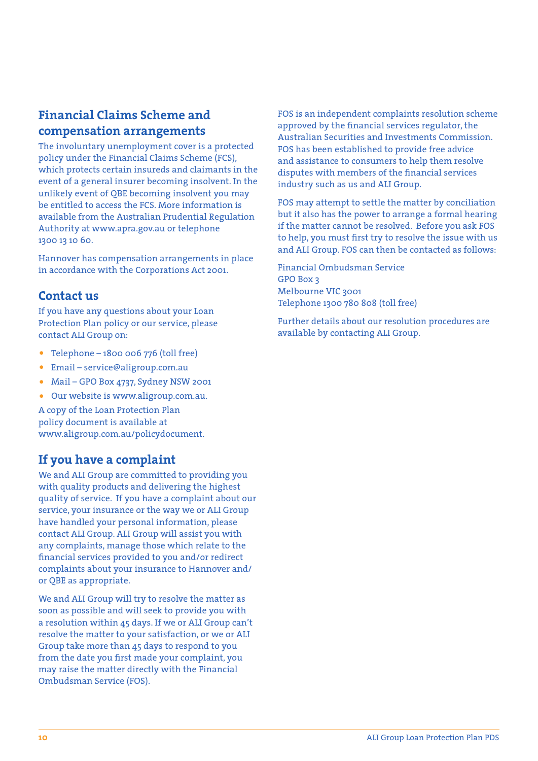### **Financial Claims Scheme and compensation arrangements**

The involuntary unemployment cover is a protected policy under the Financial Claims Scheme (FCS), which protects certain insureds and claimants in the event of a general insurer becoming insolvent. In the unlikely event of QBE becoming insolvent you may be entitled to access the FCS. More information is available from the Australian Prudential Regulation Authority at www.apra.gov.au or telephone 1300 13 10 60.

Hannover has compensation arrangements in place in accordance with the Corporations Act 2001.

#### **Contact us**

If you have any questions about your Loan Protection Plan policy or our service, please contact ALI Group on:

- Telephone 1800 006 776 (toll free)
- Email service@aligroup.com.au
- Mail GPO Box 4737, Sydney NSW 2001
- Our website is www.aligroup.com.au.

A copy of the Loan Protection Plan policy document is available at www.aligroup.com.au/policydocument.

### **If you have a complaint**

We and ALI Group are committed to providing you with quality products and delivering the highest quality of service. If you have a complaint about our service, your insurance or the way we or ALI Group have handled your personal information, please contact ALI Group. ALI Group will assist you with any complaints, manage those which relate to the financial services provided to you and/or redirect complaints about your insurance to Hannover and/ or QBE as appropriate.

We and ALI Group will try to resolve the matter as soon as possible and will seek to provide you with a resolution within 45 days. If we or ALI Group can't resolve the matter to your satisfaction, or we or ALI Group take more than 45 days to respond to you from the date you first made your complaint, you may raise the matter directly with the Financial Ombudsman Service (FOS).

FOS is an independent complaints resolution scheme approved by the financial services regulator, the Australian Securities and Investments Commission. FOS has been established to provide free advice and assistance to consumers to help them resolve disputes with members of the financial services industry such as us and ALI Group.

FOS may attempt to settle the matter by conciliation but it also has the power to arrange a formal hearing if the matter cannot be resolved. Before you ask FOS to help, you must first try to resolve the issue with us and ALI Group. FOS can then be contacted as follows:

Financial Ombudsman Service GPO Box 3 Melbourne VIC 3001 Telephone 1300 780 808 (toll free)

Further details about our resolution procedures are available by contacting ALI Group.